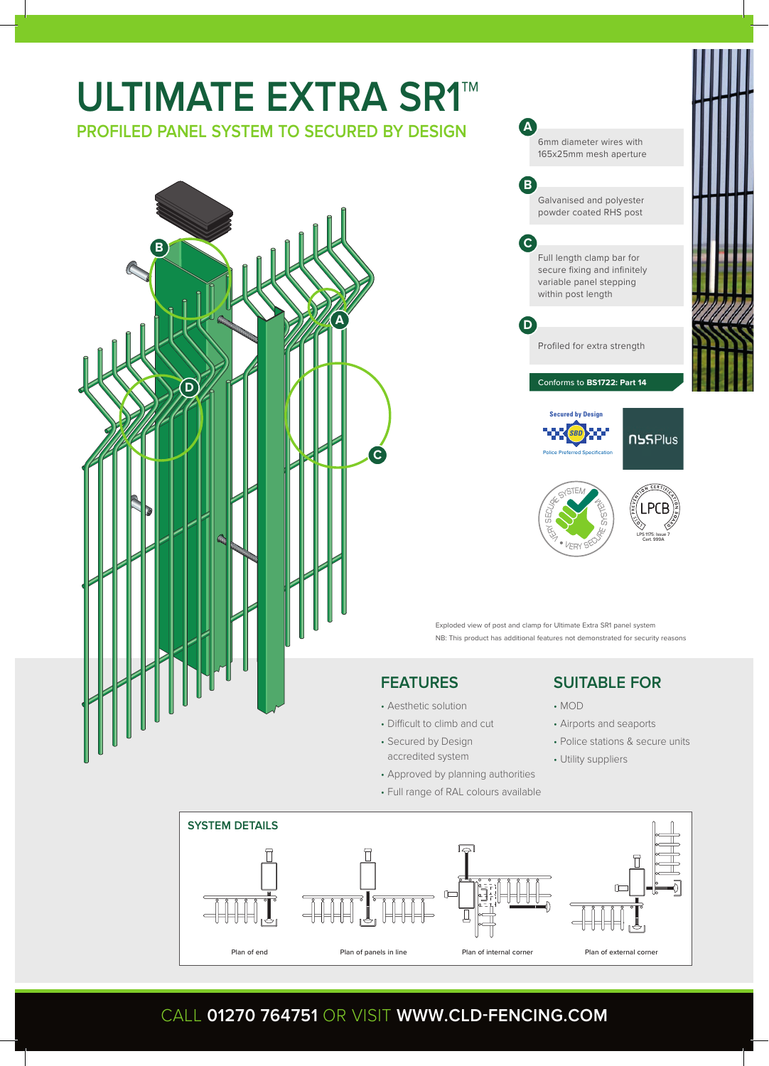# **ULTIMATE EXTRA SR1™ PROFILED PANEL SYSTEM TO SECURED BY DESIGN**

**A D B**  $\overline{\mathbf{c}}$ 

# **A** 6mm diameter wires with 165x25mm mesh aperture **B** Galvanised and polyester powder coated RHS post **C** Full length clamp bar for secure fixing and infinitely variable panel stepping within post length **D** Profiled for extra strength Conforms to **BS1722: Part 14 Secured by Design SBD NSSPlus** Police Preferred Specification **Police Preferred Specificati VERY STREET** LPS 1175: Issue 7  $\bullet$   $V_{\cancel{\text{E}}\text{RY}}$ Cert. 999A

Exploded view of post and clamp for Ultimate Extra SR1 panel system NB: This product has additional features not demonstrated for security reasons

### **FEATURES**

- Aesthetic solution
- Difficult to climb and cut
- Secured by Design accredited system
- Approved by planning authorities
- Full range of RAL colours available

# **SUITABLE FOR**

- MOD
- Airports and seaports
- Police stations & secure units
- Utility suppliers



# CALL **01270 764751** OR VISIT **WWW.CLD-FENCING.COM**